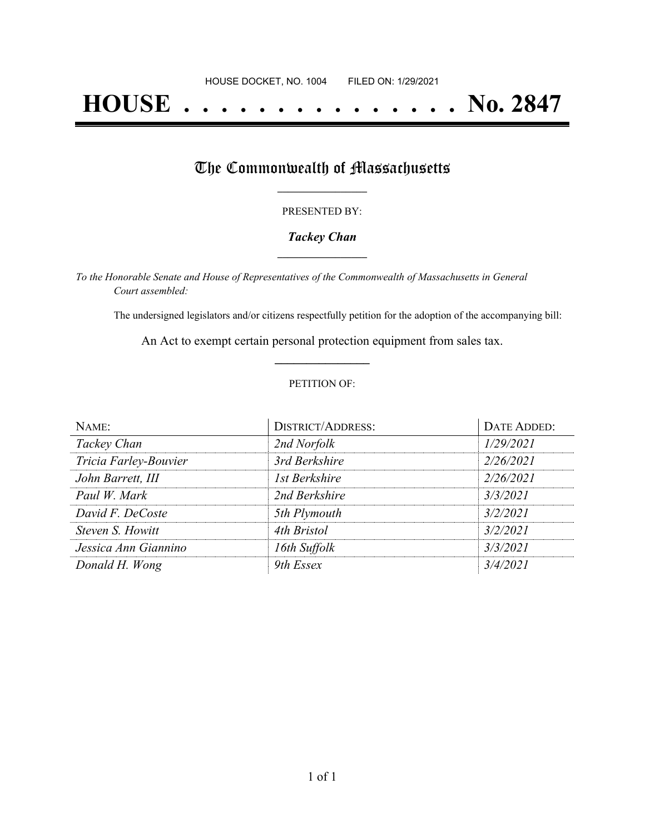# **HOUSE . . . . . . . . . . . . . . . No. 2847**

# The Commonwealth of Massachusetts

### PRESENTED BY:

## *Tackey Chan* **\_\_\_\_\_\_\_\_\_\_\_\_\_\_\_\_\_**

*To the Honorable Senate and House of Representatives of the Commonwealth of Massachusetts in General Court assembled:*

The undersigned legislators and/or citizens respectfully petition for the adoption of the accompanying bill:

An Act to exempt certain personal protection equipment from sales tax. **\_\_\_\_\_\_\_\_\_\_\_\_\_\_\_**

### PETITION OF:

| NAME:                 | <b>DISTRICT/ADDRESS:</b> | DATE ADDED: |
|-----------------------|--------------------------|-------------|
| Tackey Chan           | 2nd Norfolk              | 1/29/2021   |
| Tricia Farley-Bouvier | 3rd Berkshire            | 2/26/2021   |
| John Barrett, III     | 1st Berkshire            | 2/26/2021   |
| Paul W. Mark          | 2nd Berkshire            | 3/3/2021    |
| David F. DeCoste      | 5th Plymouth             | 3/2/2021    |
| Steven S. Howitt      | 4th Bristol              | 3/2/2021    |
| Jessica Ann Giannino  | 16th Suffolk             | 3/3/2021    |
| Donald H. Wong        | 9th Essex                | 3/4/2021    |